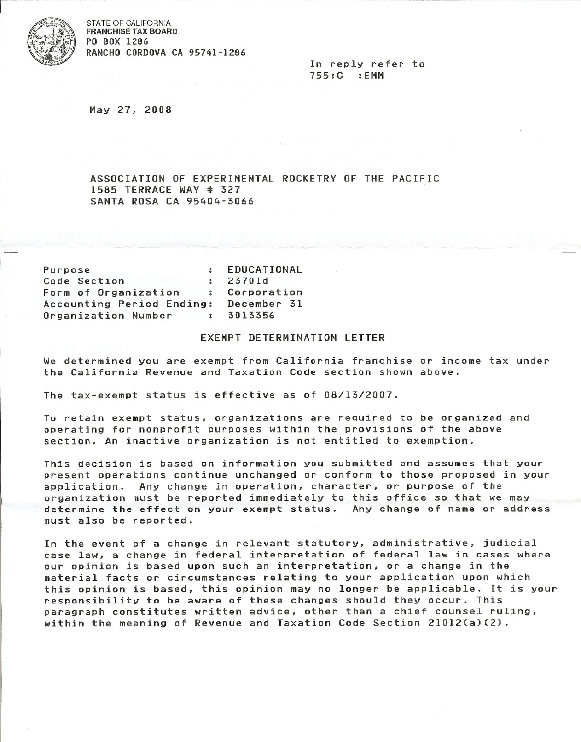

STATE OF CALIFORNIA FRANCHISE TAX BOARD PO BOX 1286 RANCHO CORDOVA CA 95741-1286

> In reply refer to 755:G :EMM

May 27, 2008

ASSOCIATION OF EXPERIMENTAL ROCKETRY OF THE PACIFIC 1585 TERRACE WAY \* 327 SANTA ROSA CA 95404-3066

| Purpose                   | $\ddot{z}$           | EDUCATIONAL |
|---------------------------|----------------------|-------------|
| Code Section              | $\cdot$              | 23701d      |
| Form of Organization      | $\ddot{\phantom{a}}$ | Corporation |
| Accounting Period Ending: |                      | December 31 |
| Organization Number       |                      | 3013356     |

## EXEMPT DETERMINATION LETTER

We determined you are exempt from California franchise or income tax under the California Revenue and Taxation Code section shown above.

The tax-exempt status is effective as of 08/13/2007.

To retain exempt status, organizations are required to be organized and operating for nonprofit purposes within the provisions of the above section. An inactive organization is not entitled to exemption.

This decision is based on information you submitted and assumes that your present operations continue unchanged or conform to those proposed in your application. Any change in operation, character, or purpose of the organization must be reported immediately to this office so that we may determine the effect on your exempt status. Any change of name or address must also be reported.

In the event of a change in relevant statutory, administrative, judicial case law, a change in federal interpretation of federal law in cases where our opinion is based upon such an interpretation, or a change in the material facts or circumstances relating to your application upon which this opinion is based, this opinion may no longer be applicable. It is your responsibility to be aware of these changes should they occur. This paragraph constitutes written advice, other than a chief counsel ruling, within the meaning of Revenue and Taxation Code Section 21012(a)(2).